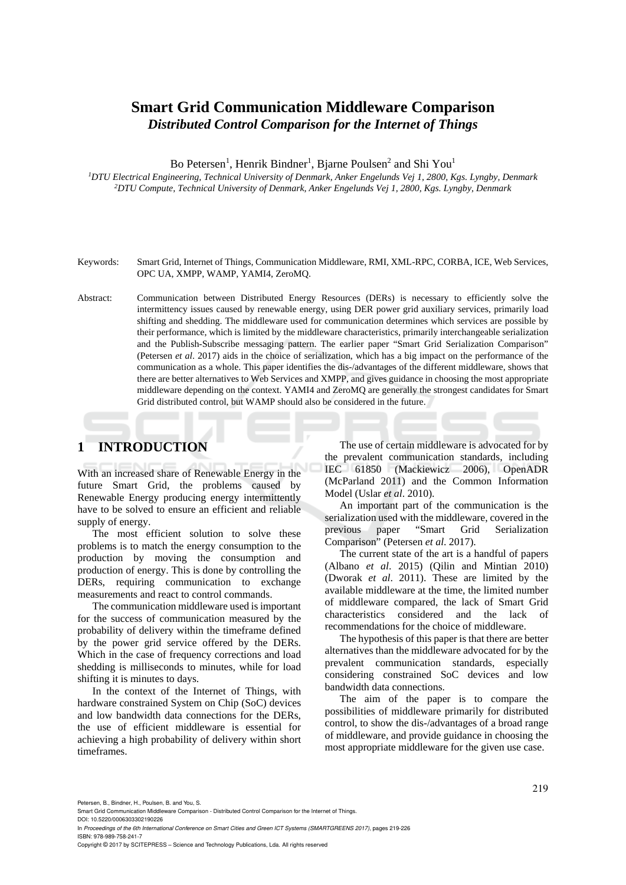# **Smart Grid Communication Middleware Comparison**  *Distributed Control Comparison for the Internet of Things*

Bo Petersen<sup>1</sup>, Henrik Bindner<sup>1</sup>, Bjarne Poulsen<sup>2</sup> and Shi You<sup>1</sup>

*1DTU Electrical Engineering, Technical University of Denmark, Anker Engelunds Vej 1, 2800, Kgs. Lyngby, Denmark 2DTU Compute, Technical University of Denmark, Anker Engelunds Vej 1, 2800, Kgs. Lyngby, Denmark* 

#### Keywords: Smart Grid, Internet of Things, Communication Middleware, RMI, XML-RPC, CORBA, ICE, Web Services, OPC UA, XMPP, WAMP, YAMI4, ZeroMQ.

Abstract: Communication between Distributed Energy Resources (DERs) is necessary to efficiently solve the intermittency issues caused by renewable energy, using DER power grid auxiliary services, primarily load shifting and shedding. The middleware used for communication determines which services are possible by their performance, which is limited by the middleware characteristics, primarily interchangeable serialization and the Publish-Subscribe messaging pattern. The earlier paper "Smart Grid Serialization Comparison" (Petersen *et al*. 2017) aids in the choice of serialization, which has a big impact on the performance of the communication as a whole. This paper identifies the dis-/advantages of the different middleware, shows that there are better alternatives to Web Services and XMPP, and gives guidance in choosing the most appropriate middleware depending on the context. YAMI4 and ZeroMQ are generally the strongest candidates for Smart Grid distributed control, but WAMP should also be considered in the future.

# **1 INTRODUCTION**

With an increased share of Renewable Energy in the future Smart Grid, the problems caused by Renewable Energy producing energy intermittently have to be solved to ensure an efficient and reliable supply of energy.

The most efficient solution to solve these problems is to match the energy consumption to the production by moving the consumption and production of energy. This is done by controlling the DERs, requiring communication to exchange measurements and react to control commands.

The communication middleware used is important for the success of communication measured by the probability of delivery within the timeframe defined by the power grid service offered by the DERs. Which in the case of frequency corrections and load shedding is milliseconds to minutes, while for load shifting it is minutes to days.

In the context of the Internet of Things, with hardware constrained System on Chip (SoC) devices and low bandwidth data connections for the DERs, the use of efficient middleware is essential for achieving a high probability of delivery within short timeframes.

The use of certain middleware is advocated for by the prevalent communication standards, including IEC 61850 (Mackiewicz 2006), OpenADR (McParland 2011) and the Common Information Model (Uslar *et al*. 2010).

An important part of the communication is the serialization used with the middleware, covered in the previous paper "Smart Grid Serialization Comparison" (Petersen *et al*. 2017).

The current state of the art is a handful of papers (Albano *et al*. 2015) (Qilin and Mintian 2010) (Dworak *et al*. 2011). These are limited by the available middleware at the time, the limited number of middleware compared, the lack of Smart Grid characteristics considered and the lack of recommendations for the choice of middleware.

The hypothesis of this paper is that there are better alternatives than the middleware advocated for by the prevalent communication standards, especially considering constrained SoC devices and low bandwidth data connections.

The aim of the paper is to compare the possibilities of middleware primarily for distributed control, to show the dis-/advantages of a broad range of middleware, and provide guidance in choosing the most appropriate middleware for the given use case.

Petersen, B., Bindner, H., Poulsen, B. and You, S.

Smart Grid Communication Middleware Comparison - Distributed Control Comparison for the Internet of Things. DOI: 10.5220/0006303302190226

In *Proceedings of the 6th International Conference on Smart Cities and Green ICT Systems (SMARTGREENS 2017)*, pages 219-226 ISBN: 978-989-758-241-7

Copyright © 2017 by SCITEPRESS – Science and Technology Publications, Lda. All rights reserved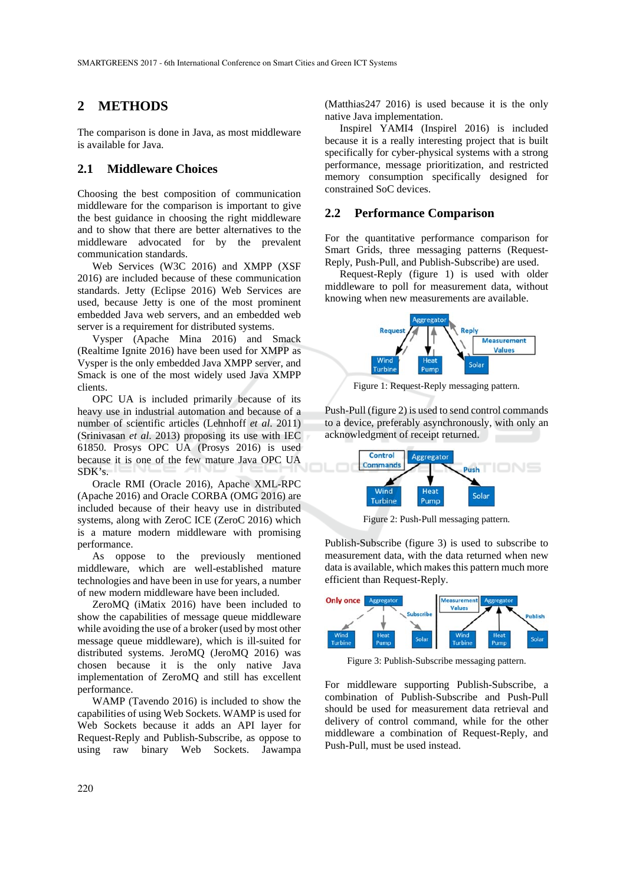## **2 METHODS**

The comparison is done in Java, as most middleware is available for Java.

## **2.1 Middleware Choices**

Choosing the best composition of communication middleware for the comparison is important to give the best guidance in choosing the right middleware and to show that there are better alternatives to the middleware advocated for by the prevalent communication standards.

Web Services (W3C 2016) and XMPP (XSF 2016) are included because of these communication standards. Jetty (Eclipse 2016) Web Services are used, because Jetty is one of the most prominent embedded Java web servers, and an embedded web server is a requirement for distributed systems.

Vysper (Apache Mina 2016) and Smack (Realtime Ignite 2016) have been used for XMPP as Vysper is the only embedded Java XMPP server, and Smack is one of the most widely used Java XMPP clients.

OPC UA is included primarily because of its heavy use in industrial automation and because of a number of scientific articles (Lehnhoff *et al*. 2011) (Srinivasan *et al*. 2013) proposing its use with IEC 61850. Prosys OPC UA (Prosys 2016) is used because it is one of the few mature Java OPC UA SDK's.

Oracle RMI (Oracle 2016), Apache XML-RPC (Apache 2016) and Oracle CORBA (OMG 2016) are included because of their heavy use in distributed systems, along with ZeroC ICE (ZeroC 2016) which is a mature modern middleware with promising performance.

As oppose to the previously mentioned middleware, which are well-established mature technologies and have been in use for years, a number of new modern middleware have been included.

ZeroMQ (iMatix 2016) have been included to show the capabilities of message queue middleware while avoiding the use of a broker (used by most other message queue middleware), which is ill-suited for distributed systems. JeroMQ (JeroMQ 2016) was chosen because it is the only native Java implementation of ZeroMQ and still has excellent performance.

WAMP (Tavendo 2016) is included to show the capabilities of using Web Sockets. WAMP is used for Web Sockets because it adds an API layer for Request-Reply and Publish-Subscribe, as oppose to using raw binary Web Sockets. Jawampa

(Matthias247 2016) is used because it is the only native Java implementation.

Inspirel YAMI4 (Inspirel 2016) is included because it is a really interesting project that is built specifically for cyber-physical systems with a strong performance, message prioritization, and restricted memory consumption specifically designed for constrained SoC devices.

### **2.2 Performance Comparison**

For the quantitative performance comparison for Smart Grids, three messaging patterns (Request-Reply, Push-Pull, and Publish-Subscribe) are used.

Request-Reply (figure 1) is used with older middleware to poll for measurement data, without knowing when new measurements are available.



Figure 1: Request-Reply messaging pattern.

Push-Pull (figure 2) is used to send control commands to a device, preferably asynchronously, with only an acknowledgment of receipt returned.



Figure 2: Push-Pull messaging pattern.

Publish-Subscribe (figure 3) is used to subscribe to measurement data, with the data returned when new data is available, which makes this pattern much more efficient than Request-Reply.



Figure 3: Publish-Subscribe messaging pattern.

For middleware supporting Publish-Subscribe, a combination of Publish-Subscribe and Push-Pull should be used for measurement data retrieval and delivery of control command, while for the other middleware a combination of Request-Reply, and Push-Pull, must be used instead.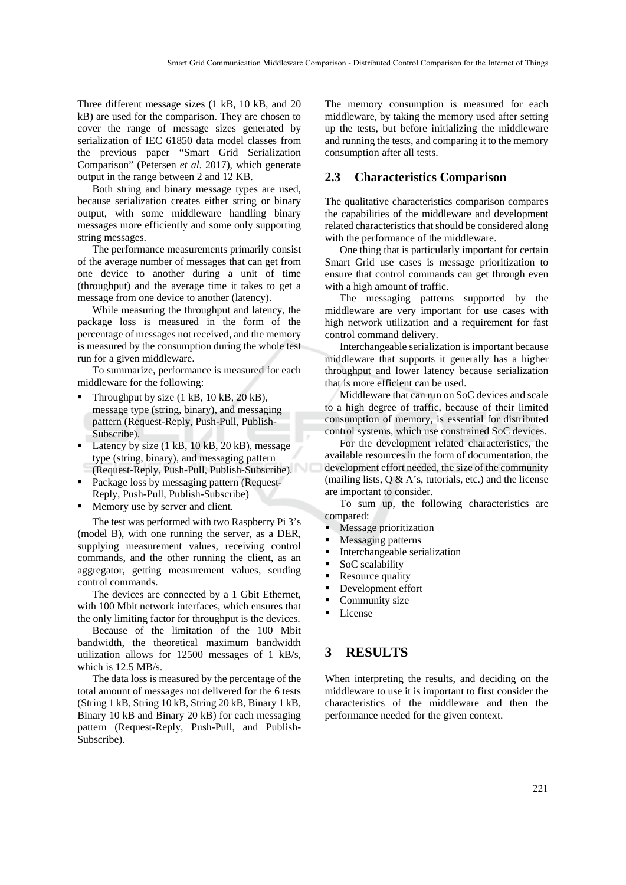Three different message sizes (1 kB, 10 kB, and 20 kB) are used for the comparison. They are chosen to cover the range of message sizes generated by serialization of IEC 61850 data model classes from the previous paper "Smart Grid Serialization Comparison" (Petersen *et al*. 2017), which generate output in the range between 2 and 12 KB.

Both string and binary message types are used, because serialization creates either string or binary output, with some middleware handling binary messages more efficiently and some only supporting string messages.

The performance measurements primarily consist of the average number of messages that can get from one device to another during a unit of time (throughput) and the average time it takes to get a message from one device to another (latency).

While measuring the throughput and latency, the package loss is measured in the form of the percentage of messages not received, and the memory is measured by the consumption during the whole test run for a given middleware.

To summarize, performance is measured for each middleware for the following:

- Throughput by size  $(1 \text{ kB}, 10 \text{ kB}, 20 \text{ kB})$ , message type (string, binary), and messaging pattern (Request-Reply, Push-Pull, Publish-Subscribe).
- Latency by size  $(1 \text{ kB}, 10 \text{ kB}, 20 \text{ kB})$ , message type (string, binary), and messaging pattern (Request-Reply, Push-Pull, Publish-Subscribe).
- Package loss by messaging pattern (Request-Reply, Push-Pull, Publish-Subscribe)
- **Memory use by server and client.**

The test was performed with two Raspberry Pi 3's (model B), with one running the server, as a DER, supplying measurement values, receiving control commands, and the other running the client, as an aggregator, getting measurement values, sending control commands.

The devices are connected by a 1 Gbit Ethernet, with 100 Mbit network interfaces, which ensures that the only limiting factor for throughput is the devices.

Because of the limitation of the 100 Mbit bandwidth, the theoretical maximum bandwidth utilization allows for 12500 messages of 1 kB/s, which is 12.5 MB/s.

The data loss is measured by the percentage of the total amount of messages not delivered for the 6 tests (String 1 kB, String 10 kB, String 20 kB, Binary 1 kB, Binary 10 kB and Binary 20 kB) for each messaging pattern (Request-Reply, Push-Pull, and Publish-Subscribe).

The memory consumption is measured for each middleware, by taking the memory used after setting up the tests, but before initializing the middleware and running the tests, and comparing it to the memory consumption after all tests.

### **2.3 Characteristics Comparison**

The qualitative characteristics comparison compares the capabilities of the middleware and development related characteristics that should be considered along with the performance of the middleware.

One thing that is particularly important for certain Smart Grid use cases is message prioritization to ensure that control commands can get through even with a high amount of traffic.

The messaging patterns supported by the middleware are very important for use cases with high network utilization and a requirement for fast control command delivery.

Interchangeable serialization is important because middleware that supports it generally has a higher throughput and lower latency because serialization that is more efficient can be used.

Middleware that can run on SoC devices and scale to a high degree of traffic, because of their limited consumption of memory, is essential for distributed control systems, which use constrained SoC devices.

For the development related characteristics, the available resources in the form of documentation, the development effort needed, the size of the community (mailing lists,  $Q \& A$ 's, tutorials, etc.) and the license are important to consider.

To sum up, the following characteristics are compared:

- Message prioritization
- Messaging patterns
- Interchangeable serialization
- SoC scalability
- Resource quality
- Development effort
- Community size
- **License**

## **3 RESULTS**

When interpreting the results, and deciding on the middleware to use it is important to first consider the characteristics of the middleware and then the performance needed for the given context.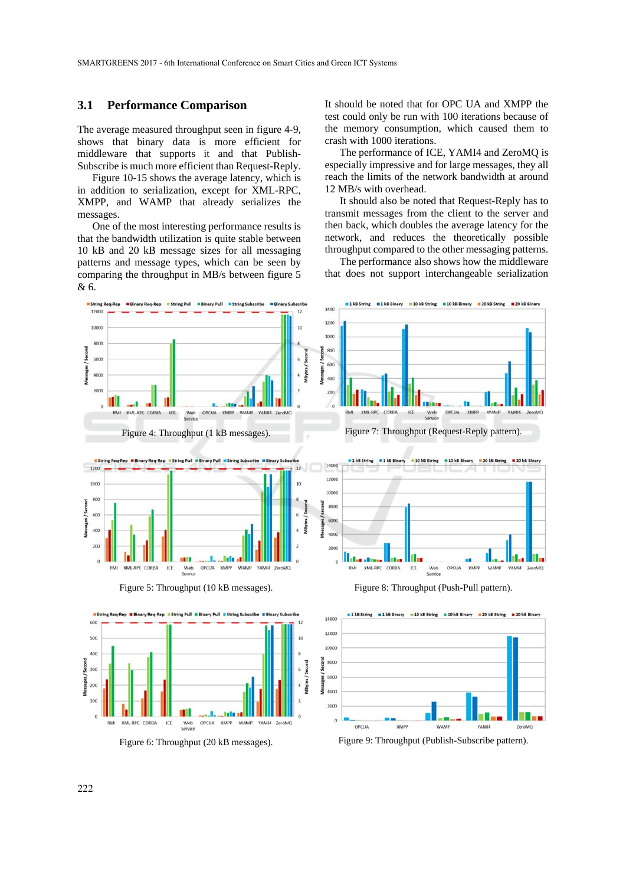### **3.1 Performance Comparison**

The average measured throughput seen in figure 4-9, shows that binary data is more efficient for middleware that supports it and that Publish-Subscribe is much more efficient than Request-Reply.

Figure 10-15 shows the average latency, which is in addition to serialization, except for XML-RPC, XMPP, and WAMP that already serializes the messages.

One of the most interesting performance results is that the bandwidth utilization is quite stable between 10 kB and 20 kB message sizes for all messaging patterns and message types, which can be seen by comparing the throughput in MB/s between figure 5 & 6.

It should be noted that for OPC UA and XMPP the test could only be run with 100 iterations because of the memory consumption, which caused them to crash with 1000 iterations.

The performance of ICE, YAMI4 and ZeroMQ is especially impressive and for large messages, they all reach the limits of the network bandwidth at around 12 MB/s with overhead.

It should also be noted that Request-Reply has to transmit messages from the client to the server and then back, which doubles the average latency for the network, and reduces the theoretically possible throughput compared to the other messaging patterns.

The performance also shows how the middleware that does not support interchangeable serialization



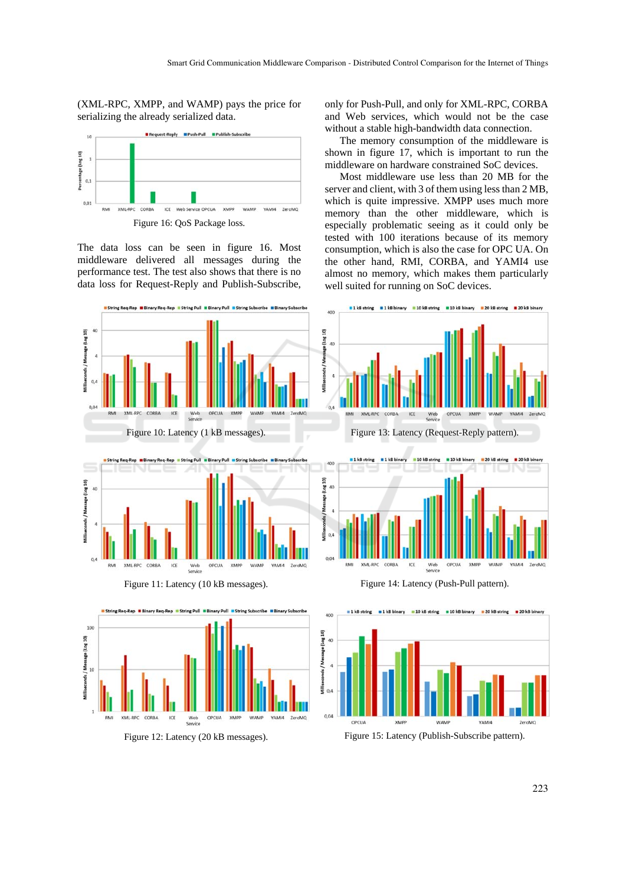(XML-RPC, XMPP, and WAMP) pays the price for serializing the already serialized data.



The data loss can be seen in figure 16. Most middleware delivered all messages during the performance test. The test also shows that there is no data loss for Request-Reply and Publish-Subscribe, only for Push-Pull, and only for XML-RPC, CORBA and Web services, which would not be the case without a stable high-bandwidth data connection.

The memory consumption of the middleware is shown in figure 17, which is important to run the middleware on hardware constrained SoC devices.

Most middleware use less than 20 MB for the server and client, with 3 of them using less than 2 MB, which is quite impressive. XMPP uses much more memory than the other middleware, which is especially problematic seeing as it could only be tested with 100 iterations because of its memory consumption, which is also the case for OPC UA. On the other hand, RMI, CORBA, and YAMI4 use almost no memory, which makes them particularly well suited for running on SoC devices.

10 kB string = 10 kB binary = 20 kB string = 20 kB binary









Figure 12: Latency (20 kB messages). Figure 15: Latency (Publish-Subscribe pattern).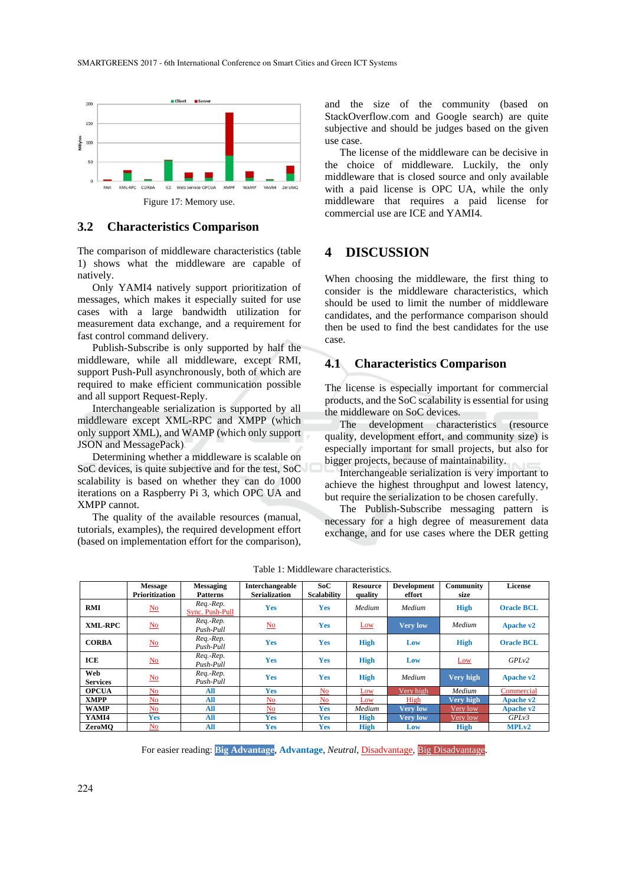

#### **3.2 Characteristics Comparison**

The comparison of middleware characteristics (table 1) shows what the middleware are capable of natively.

Only YAMI4 natively support prioritization of messages, which makes it especially suited for use cases with a large bandwidth utilization for measurement data exchange, and a requirement for fast control command delivery.

Publish-Subscribe is only supported by half the middleware, while all middleware, except RMI, support Push-Pull asynchronously, both of which are required to make efficient communication possible and all support Request-Reply.

Interchangeable serialization is supported by all middleware except XML-RPC and XMPP (which only support XML), and WAMP (which only support JSON and MessagePack).

Determining whether a middleware is scalable on SoC devices, is quite subjective and for the test, SoC scalability is based on whether they can do 1000 iterations on a Raspberry Pi 3, which OPC UA and XMPP cannot.

The quality of the available resources (manual, tutorials, examples), the required development effort (based on implementation effort for the comparison),

and the size of the community (based on StackOverflow.com and Google search) are quite subjective and should be judges based on the given use case.

The license of the middleware can be decisive in the choice of middleware. Luckily, the only middleware that is closed source and only available with a paid license is OPC UA, while the only middleware that requires a paid license for commercial use are ICE and YAMI4.

## **4 DISCUSSION**

When choosing the middleware, the first thing to consider is the middleware characteristics, which should be used to limit the number of middleware candidates, and the performance comparison should then be used to find the best candidates for the use case.

### **4.1 Characteristics Comparison**

The license is especially important for commercial products, and the SoC scalability is essential for using the middleware on SoC devices.

The development characteristics (resource quality, development effort, and community size) is especially important for small projects, but also for bigger projects, because of maintainability.

Interchangeable serialization is very important to achieve the highest throughput and lowest latency, but require the serialization to be chosen carefully.

The Publish-Subscribe messaging pattern is necessary for a high degree of measurement data exchange, and for use cases where the DER getting

|                        | <b>Message</b><br><b>Prioritization</b> | <b>Messaging</b><br><b>Patterns</b> | Interchangeable<br><b>Serialization</b> | SoC<br><b>Scalability</b> | <b>Resource</b><br>quality | <b>Development</b><br>effort | <b>Community</b><br>size | <b>License</b>    |
|------------------------|-----------------------------------------|-------------------------------------|-----------------------------------------|---------------------------|----------------------------|------------------------------|--------------------------|-------------------|
| <b>RMI</b>             | $\underline{\mathbf{No}}$               | Req.-Rep.<br>Sync. Push-Pull        | <b>Yes</b>                              | <b>Yes</b>                | Medium                     | Medium                       | <b>High</b>              | <b>Oracle BCL</b> |
| XML-RPC                | $\underline{\mathbf{N}\mathbf{o}}$      | Req.-Rep.<br>Push-Pull              | $\underline{\mathrm{No}}$               | <b>Yes</b>                | Low                        | <b>Very low</b>              | Medium                   | Apache v2         |
| <b>CORBA</b>           | $\underline{\mathbf{N}\mathbf{o}}$      | Req.-Rep.<br>Push-Pull              | <b>Yes</b>                              | <b>Yes</b>                | <b>High</b>                | Low                          | <b>High</b>              | <b>Oracle BCL</b> |
| ICE                    | $\underline{\mathbf{No}}$               | Req.-Rep.<br>Push-Pull              | Yes                                     | <b>Yes</b>                | <b>High</b>                | Low                          | Low                      | GPLv2             |
| Web<br><b>Services</b> | $\underline{\mathbf{N}\mathbf{o}}$      | Req.-Rep.<br>Push-Pull              | Yes                                     | <b>Yes</b>                | <b>High</b>                | Medium                       | <b>Very high</b>         | Apache v2         |
| <b>OPCUA</b>           | No.                                     | All                                 | <b>Yes</b>                              | N <sub>o</sub>            | Low                        | Very high                    | Medium                   | Commercial        |
| <b>XMPP</b>            | No                                      | All                                 | No                                      | N <sub>0</sub>            | Low                        | High                         | <b>Very high</b>         | <b>Apache v2</b>  |
| <b>WAMP</b>            | No.                                     | All                                 | N <sub>o</sub>                          | <b>Yes</b>                | Medium                     | <b>Very low</b>              | Very low                 | <b>Apache v2</b>  |
| YAMI4                  | <b>Yes</b>                              | All                                 | Yes                                     | <b>Yes</b>                | <b>High</b>                | <b>Very low</b>              | Very low                 | GPLv3             |
| ZeroMO                 | No.                                     | All                                 | Yes                                     | <b>Yes</b>                | <b>High</b>                | Low                          | <b>High</b>              | MPLv2             |

Table 1: Middleware characteristics.

For easier reading: **Big Advantage**, **Advantage**, *Neutral*, Disadvantage, Big Disadvantage.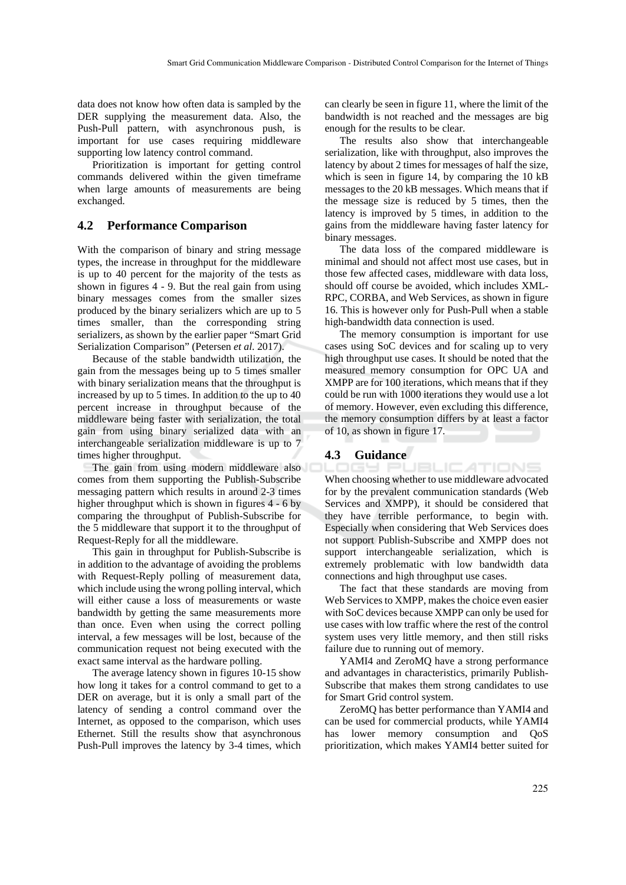data does not know how often data is sampled by the DER supplying the measurement data. Also, the Push-Pull pattern, with asynchronous push, is important for use cases requiring middleware supporting low latency control command.

Prioritization is important for getting control commands delivered within the given timeframe when large amounts of measurements are being exchanged.

### **4.2 Performance Comparison**

With the comparison of binary and string message types, the increase in throughput for the middleware is up to 40 percent for the majority of the tests as shown in figures 4 - 9. But the real gain from using binary messages comes from the smaller sizes produced by the binary serializers which are up to 5 times smaller, than the corresponding string serializers, as shown by the earlier paper "Smart Grid Serialization Comparison" (Petersen *et al*. 2017).

Because of the stable bandwidth utilization, the gain from the messages being up to 5 times smaller with binary serialization means that the throughput is increased by up to 5 times. In addition to the up to 40 percent increase in throughput because of the middleware being faster with serialization, the total gain from using binary serialized data with an interchangeable serialization middleware is up to 7 times higher throughput.

The gain from using modern middleware also comes from them supporting the Publish-Subscribe messaging pattern which results in around 2-3 times higher throughput which is shown in figures 4 - 6 by comparing the throughput of Publish-Subscribe for the 5 middleware that support it to the throughput of Request-Reply for all the middleware.

This gain in throughput for Publish-Subscribe is in addition to the advantage of avoiding the problems with Request-Reply polling of measurement data, which include using the wrong polling interval, which will either cause a loss of measurements or waste bandwidth by getting the same measurements more than once. Even when using the correct polling interval, a few messages will be lost, because of the communication request not being executed with the exact same interval as the hardware polling.

The average latency shown in figures 10-15 show how long it takes for a control command to get to a DER on average, but it is only a small part of the latency of sending a control command over the Internet, as opposed to the comparison, which uses Ethernet. Still the results show that asynchronous Push-Pull improves the latency by 3-4 times, which

can clearly be seen in figure 11, where the limit of the bandwidth is not reached and the messages are big enough for the results to be clear.

The results also show that interchangeable serialization, like with throughput, also improves the latency by about 2 times for messages of half the size, which is seen in figure 14, by comparing the 10 kB messages to the 20 kB messages. Which means that if the message size is reduced by 5 times, then the latency is improved by 5 times, in addition to the gains from the middleware having faster latency for binary messages.

The data loss of the compared middleware is minimal and should not affect most use cases, but in those few affected cases, middleware with data loss, should off course be avoided, which includes XML-RPC, CORBA, and Web Services, as shown in figure 16. This is however only for Push-Pull when a stable high-bandwidth data connection is used.

The memory consumption is important for use cases using SoC devices and for scaling up to very high throughput use cases. It should be noted that the measured memory consumption for OPC UA and XMPP are for 100 iterations, which means that if they could be run with 1000 iterations they would use a lot of memory. However, even excluding this difference, the memory consumption differs by at least a factor of 10, as shown in figure 17.

## **4.3 Guidance**

IGY PUBLICATIONS When choosing whether to use middleware advocated for by the prevalent communication standards (Web Services and XMPP), it should be considered that they have terrible performance, to begin with. Especially when considering that Web Services does not support Publish-Subscribe and XMPP does not support interchangeable serialization, which is extremely problematic with low bandwidth data connections and high throughput use cases.

The fact that these standards are moving from Web Services to XMPP, makes the choice even easier with SoC devices because XMPP can only be used for use cases with low traffic where the rest of the control system uses very little memory, and then still risks failure due to running out of memory.

YAMI4 and ZeroMQ have a strong performance and advantages in characteristics, primarily Publish-Subscribe that makes them strong candidates to use for Smart Grid control system.

ZeroMQ has better performance than YAMI4 and can be used for commercial products, while YAMI4 has lower memory consumption and QoS prioritization, which makes YAMI4 better suited for